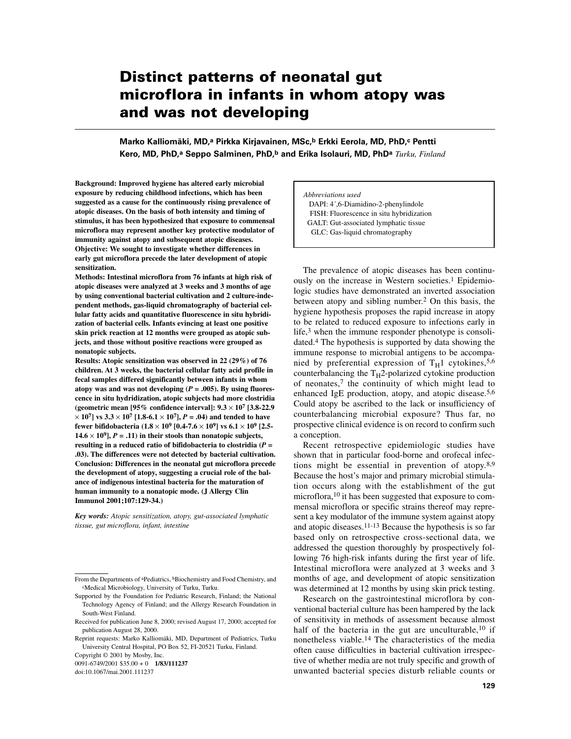# **Distinct patterns of neonatal gut microflora in infants in whom atopy was and was not developing**

**Marko Kalliomäki, MD,a Pirkka Kirjavainen, MSc,b Erkki Eerola, MD, PhD,c Pentti Kero, MD, PhD,a Seppo Salminen, PhD,b and Erika Isolauri, MD, PhDa** *Turku, Finland*

**Background: Improved hygiene has altered early microbial exposure by reducing childhood infections, which has been suggested as a cause for the continuously rising prevalence of atopic diseases. On the basis of both intensity and timing of stimulus, it has been hypothesized that exposure to commensal microflora may represent another key protective modulator of immunity against atopy and subsequent atopic diseases. Objective: We sought to investigate whether differences in early gut microflora precede the later development of atopic sensitization.**

**Methods: Intestinal microflora from 76 infants at high risk of atopic diseases were analyzed at 3 weeks and 3 months of age by using conventional bacterial cultivation and 2 culture-independent methods, gas-liquid chromatography of bacterial cellular fatty acids and quantitative fluorescence in situ hybridization of bacterial cells. Infants evincing at least one positive skin prick reaction at 12 months were grouped as atopic subjects, and those without positive reactions were grouped as nonatopic subjects.**

**Results: Atopic sensitization was observed in 22 (29%) of 76 children. At 3 weeks, the bacterial cellular fatty acid profile in fecal samples differed significantly between infants in whom** atopy was and was not developing  $(P = .005)$ . By using fluores**cence in situ hydridization, atopic subjects had more clostridia (geometric mean [95% confidence interval]: 9.3** × **107 [3.8-22.9**  $\times$  10<sup>7</sup> | vs 3.3  $\times$  10<sup>7</sup> [1.8-6.1  $\times$  10<sup>7</sup>], *P* = .04) and tended to have **fewer bifidobacteria (1.8** × **109 [0.4-7.6** × **109] vs 6.1** × **109 [2.5-**  $14.6 \times 10^9$ ],  $P = .11$ ) in their stools than nonatopic subjects, **resulting in a reduced ratio of bifidobacteria to clostridia (***P* **= .03). The differences were not detected by bacterial cultivation. Conclusion: Differences in the neonatal gut microflora precede the development of atopy, suggesting a crucial role of the balance of indigenous intestinal bacteria for the maturation of human immunity to a nonatopic mode. (J Allergy Clin Immunol 2001;107:129-34.)**

*Key words: Atopic sensitization, atopy, gut-associated lymphatic tissue, gut microflora, infant, intestine*

Copyright © 2001 by Mosby, Inc.

0091-6749/2001 \$35.00 + 0 **1/83/111237**

doi:10.1067/mai.2001.111237

*Abbreviations used* DAPI: 4´,6-Diamidino-2-phenylindole FISH: Fluorescence in situ hybridization GALT: Gut-associated lymphatic tissue GLC: Gas-liquid chromatography

The prevalence of atopic diseases has been continuously on the increase in Western societies.<sup>1</sup> Epidemiologic studies have demonstrated an inverted association between atopy and sibling number.2 On this basis, the hygiene hypothesis proposes the rapid increase in atopy to be related to reduced exposure to infections early in life, $3$  when the immune responder phenotype is consolidated.4 The hypothesis is supported by data showing the immune response to microbial antigens to be accompanied by preferential expression of  $T_H1$  cytokines, 5,6 counterbalancing the  $T_H$ 2-polarized cytokine production of neonates,7 the continuity of which might lead to enhanced IgE production, atopy, and atopic disease.5,6 Could atopy be ascribed to the lack or insufficiency of counterbalancing microbial exposure? Thus far, no prospective clinical evidence is on record to confirm such a conception.

Recent retrospective epidemiologic studies have shown that in particular food-borne and orofecal infections might be essential in prevention of atopy.<sup>8,9</sup> Because the host's major and primary microbial stimulation occurs along with the establishment of the gut microflora,<sup>10</sup> it has been suggested that exposure to commensal microflora or specific strains thereof may represent a key modulator of the immune system against atopy and atopic diseases.11-13 Because the hypothesis is so far based only on retrospective cross-sectional data, we addressed the question thoroughly by prospectively following 76 high-risk infants during the first year of life. Intestinal microflora were analyzed at 3 weeks and 3 months of age, and development of atopic sensitization was determined at 12 months by using skin prick testing.

Research on the gastrointestinal microflora by conventional bacterial culture has been hampered by the lack of sensitivity in methods of assessment because almost half of the bacteria in the gut are unculturable,<sup>10</sup> if nonetheless viable.14 The characteristics of the media often cause difficulties in bacterial cultivation irrespective of whether media are not truly specific and growth of unwanted bacterial species disturb reliable counts or

From the Departments of <sup>a</sup>Pediatrics, <sup>b</sup>Biochemistry and Food Chemistry, and cMedical Microbiology, University of Turku, Turku.

Supported by the Foundation for Pediatric Research, Finland; the National Technology Agency of Finland; and the Allergy Research Foundation in South-West Finland.

Received for publication June 8, 2000; revised August 17, 2000; accepted for publication August 28, 2000.

Reprint requests: Marko Kalliomäki, MD, Department of Pediatrics, Turku University Central Hospital, PO Box 52, FI-20521 Turku, Finland.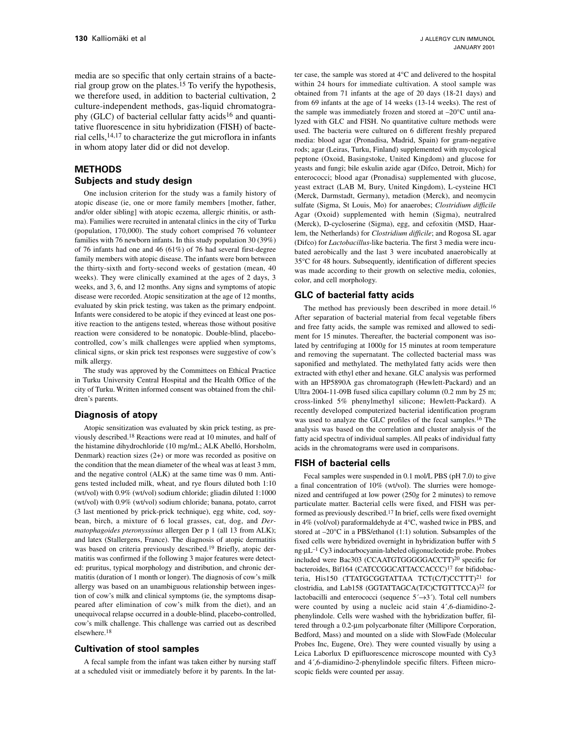media are so specific that only certain strains of a bacterial group grow on the plates.15 To verify the hypothesis, we therefore used, in addition to bacterial cultivation, 2 culture-independent methods, gas-liquid chromatography (GLC) of bacterial cellular fatty acids<sup>16</sup> and quantitative fluorescence in situ hybridization (FISH) of bacterial cells,14,17 to characterize the gut microflora in infants in whom atopy later did or did not develop.

# **METHODS Subjects and study design**

One inclusion criterion for the study was a family history of atopic disease (ie, one or more family members [mother, father, and/or older sibling] with atopic eczema, allergic rhinitis, or asthma). Families were recruited in antenatal clinics in the city of Turku (population, 170,000). The study cohort comprised 76 volunteer families with 76 newborn infants. In this study population 30 (39%) of 76 infants had one and 46 (61%) of 76 had several first-degree family members with atopic disease. The infants were born between the thirty-sixth and forty-second weeks of gestation (mean, 40 weeks). They were clinically examined at the ages of 2 days, 3 weeks, and 3, 6, and 12 months. Any signs and symptoms of atopic disease were recorded. Atopic sensitization at the age of 12 months, evaluated by skin prick testing, was taken as the primary endpoint. Infants were considered to be atopic if they evinced at least one positive reaction to the antigens tested, whereas those without positive reaction were considered to be nonatopic. Double-blind, placebocontrolled, cow's milk challenges were applied when symptoms, clinical signs, or skin prick test responses were suggestive of cow's milk allergy.

The study was approved by the Committees on Ethical Practice in Turku University Central Hospital and the Health Office of the city of Turku. Written informed consent was obtained from the children's parents.

## **Diagnosis of atopy**

Atopic sensitization was evaluated by skin prick testing, as previously described.18 Reactions were read at 10 minutes, and half of the histamine dihydrochloride (10 mg/mL; ALK Abelló, Horsholm, Denmark) reaction sizes (2+) or more was recorded as positive on the condition that the mean diameter of the wheal was at least 3 mm, and the negative control (ALK) at the same time was 0 mm. Antigens tested included milk, wheat, and rye flours diluted both 1:10 (wt/vol) with 0.9% (wt/vol) sodium chloride; gliadin diluted 1:1000 (wt/vol) with 0.9% (wt/vol) sodium chloride; banana, potato, carrot (3 last mentioned by prick-prick technique), egg white, cod, soybean, birch, a mixture of 6 local grasses, cat, dog, and *Dermatophagoides pteronyssinus* allergen Der p 1 (all 13 from ALK); and latex (Stallergens, France). The diagnosis of atopic dermatitis was based on criteria previously described.19 Briefly, atopic dermatitis was confirmed if the following 3 major features were detected: pruritus, typical morphology and distribution, and chronic dermatitis (duration of 1 month or longer). The diagnosis of cow's milk allergy was based on an unambiguous relationship between ingestion of cow's milk and clinical symptoms (ie, the symptoms disappeared after elimination of cow's milk from the diet), and an unequivocal relapse occurred in a double-blind, placebo-controlled, cow's milk challenge. This challenge was carried out as described elsewhere.18

## **Cultivation of stool samples**

A fecal sample from the infant was taken either by nursing staff at a scheduled visit or immediately before it by parents. In the latter case, the sample was stored at 4°C and delivered to the hospital within 24 hours for immediate cultivation. A stool sample was obtained from 71 infants at the age of 20 days (18-21 days) and from 69 infants at the age of 14 weeks (13-14 weeks). The rest of the sample was immediately frozen and stored at –20°C until analyzed with GLC and FISH. No quantitative culture methods were used. The bacteria were cultured on 6 different freshly prepared media: blood agar (Pronadisa, Madrid, Spain) for gram-negative rods; agar (Leiras, Turku, Finland) supplemented with mycological peptone (Oxoid, Basingstoke, United Kingdom) and glucose for yeasts and fungi; bile eskulin azide agar (Difco, Detroit, Mich) for enterococci; blood agar (Pronadisa) supplemented with glucose, yeast extract (LAB M, Bury, United Kingdom), L-cysteine HCl (Merck, Darmstadt, Germany), metadion (Merck), and neomycin sulfate (Sigma, St Louis, Mo) for anaerobes; *Clostridium difficile* Agar (Oxoid) supplemented with hemin (Sigma), neutralred (Merck), D-cycloserine (Sigma), egg, and cefoxitin (MSD, Haarlem, the Netherlands) for *Clostridium difficile*; and Rogosa SL agar (Difco) for *Lactobacillus*-like bacteria. The first 3 media were incubated aerobically and the last 3 were incubated anaerobically at 35°C for 48 hours. Subsequently, identification of different species was made according to their growth on selective media, colonies, color, and cell morphology.

## **GLC of bacterial fatty acids**

The method has previously been described in more detail.16 After separation of bacterial material from fecal vegetable fibers and free fatty acids, the sample was remixed and allowed to sediment for 15 minutes. Thereafter, the bacterial component was isolated by centrifuging at 1000*g* for 15 minutes at room temperature and removing the supernatant. The collected bacterial mass was saponified and methylated. The methylated fatty acids were then extracted with ethyl ether and hexane. GLC analysis was performed with an HP5890A gas chromatograph (Hewlett-Packard) and an Ultra 2004-11-09B fused silica capillary column (0.2 mm by 25 m; cross-linked 5% phenylmethyl silicone; Hewlett-Packard). A recently developed computerized bacterial identification program was used to analyze the GLC profiles of the fecal samples.16 The analysis was based on the correlation and cluster analysis of the fatty acid spectra of individual samples. All peaks of individual fatty acids in the chromatograms were used in comparisons.

## **FISH of bacterial cells**

Fecal samples were suspended in 0.1 mol/L PBS (pH 7.0) to give a final concentration of 10% (wt/vol). The slurries were homogenized and centrifuged at low power (250*g* for 2 minutes) to remove particulate matter. Bacterial cells were fixed, and FISH was performed as previously described.17 In brief, cells were fixed overnight in 4% (vol/vol) paraformaldehyde at 4°C, washed twice in PBS, and stored at –20°C in a PBS/ethanol (1:1) solution. Subsamples of the fixed cells were hybridized overnight in hybridization buffer with 5 ng·µL–1 Cy3 indocarbocyanin-labeled oligonucleotide probe. Probes included were Bac303 (CCAATGTGGGGGACCTT)20 specific for bacteroides, Bif164 (CATCCGGCATTACCACCC)17 for bifidobacteria, His150 (TTATGCGGTATTAA TCT(C/T)CCTTT)<sup>21</sup> for clostridia, and Lab158 (GGTATTAGCA(T/C)CTGTTTCCA)22 for lactobacilli and enterococci (sequence  $5' \rightarrow 3'$ ). Total cell numbers were counted by using a nucleic acid stain 4´,6-diamidino-2 phenylindole. Cells were washed with the hybridization buffer, filtered through a 0.2-µm polycarbonate filter (Millipore Corporation, Bedford, Mass) and mounted on a slide with SlowFade (Molecular Probes Inc, Eugene, Ore). They were counted visually by using a Leica Laborlux D epifluorescence microscope mounted with Cy3 and 4´,6-diamidino-2-phenylindole specific filters. Fifteen microscopic fields were counted per assay.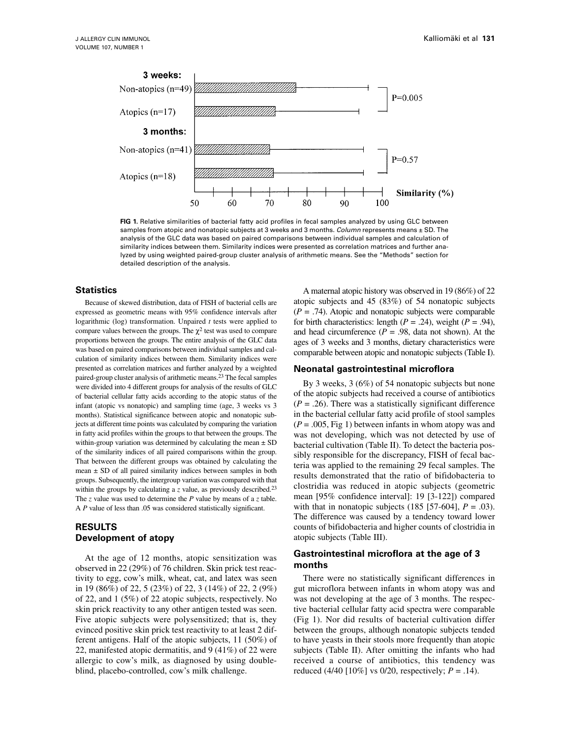

**FIG 1.** Relative similarities of bacterial fatty acid profiles in fecal samples analyzed by using GLC between samples from atopic and nonatopic subjects at 3 weeks and 3 months. *Column* represents means ± SD. The analysis of the GLC data was based on paired comparisons between individual samples and calculation of similarity indices between them. Similarity indices were presented as correlation matrices and further analyzed by using weighted paired-group cluster analysis of arithmetic means. See the "Methods" section for detailed description of the analysis.

#### **Statistics**

Because of skewed distribution, data of FISH of bacterial cells are expressed as geometric means with 95% confidence intervals after logarithmic (log) transformation. Unpaired *t* tests were applied to compare values between the groups. The  $\chi^2$  test was used to compare proportions between the groups. The entire analysis of the GLC data was based on paired comparisons between individual samples and calculation of similarity indices between them. Similarity indices were presented as correlation matrices and further analyzed by a weighted paired-group cluster analysis of arithmetic means.23 The fecal samples were divided into 4 different groups for analysis of the results of GLC of bacterial cellular fatty acids according to the atopic status of the infant (atopic vs nonatopic) and sampling time (age, 3 weeks vs 3 months). Statistical significance between atopic and nonatopic subjects at different time points was calculated by comparing the variation in fatty acid profiles within the groups to that between the groups. The within-group variation was determined by calculating the mean  $\pm$  SD of the similarity indices of all paired comparisons within the group. That between the different groups was obtained by calculating the mean  $\pm$  SD of all paired similarity indices between samples in both groups. Subsequently, the intergroup variation was compared with that within the groups by calculating a *z* value, as previously described.<sup>23</sup> The *z* value was used to determine the *P* value by means of a *z* table. A *P* value of less than .05 was considered statistically significant.

# **RESULTS Development of atopy**

At the age of 12 months, atopic sensitization was observed in 22 (29%) of 76 children. Skin prick test reactivity to egg, cow's milk, wheat, cat, and latex was seen in 19 (86%) of 22, 5 (23%) of 22, 3 (14%) of 22, 2 (9%) of 22, and 1 (5%) of 22 atopic subjects, respectively. No skin prick reactivity to any other antigen tested was seen. Five atopic subjects were polysensitized; that is, they evinced positive skin prick test reactivity to at least 2 different antigens. Half of the atopic subjects, 11 (50%) of 22, manifested atopic dermatitis, and 9 (41%) of 22 were allergic to cow's milk, as diagnosed by using doubleblind, placebo-controlled, cow's milk challenge.

A maternal atopic history was observed in 19 (86%) of 22 atopic subjects and 45 (83%) of 54 nonatopic subjects  $(P = .74)$ . Atopic and nonatopic subjects were comparable for birth characteristics: length ( $P = .24$ ), weight ( $P = .94$ ), and head circumference  $(P = .98)$ , data not shown). At the ages of 3 weeks and 3 months, dietary characteristics were comparable between atopic and nonatopic subjects (Table I).

## **Neonatal gastrointestinal microflora**

By 3 weeks, 3 (6%) of 54 nonatopic subjects but none of the atopic subjects had received a course of antibiotics  $(P = .26)$ . There was a statistically significant difference in the bacterial cellular fatty acid profile of stool samples (*P* = .005, Fig 1) between infants in whom atopy was and was not developing, which was not detected by use of bacterial cultivation (Table II). To detect the bacteria possibly responsible for the discrepancy, FISH of fecal bacteria was applied to the remaining 29 fecal samples. The results demonstrated that the ratio of bifidobacteria to clostridia was reduced in atopic subjects (geometric mean [95% confidence interval]: 19 [3-122]) compared with that in nonatopic subjects  $(185 [57-604], P = .03)$ . The difference was caused by a tendency toward lower counts of bifidobacteria and higher counts of clostridia in atopic subjects (Table III).

# **Gastrointestinal microflora at the age of 3 months**

There were no statistically significant differences in gut microflora between infants in whom atopy was and was not developing at the age of 3 months. The respective bacterial cellular fatty acid spectra were comparable (Fig 1). Nor did results of bacterial cultivation differ between the groups, although nonatopic subjects tended to have yeasts in their stools more frequently than atopic subjects (Table II). After omitting the infants who had received a course of antibiotics, this tendency was reduced (4/40 [10%] vs 0/20, respectively; *P* = .14).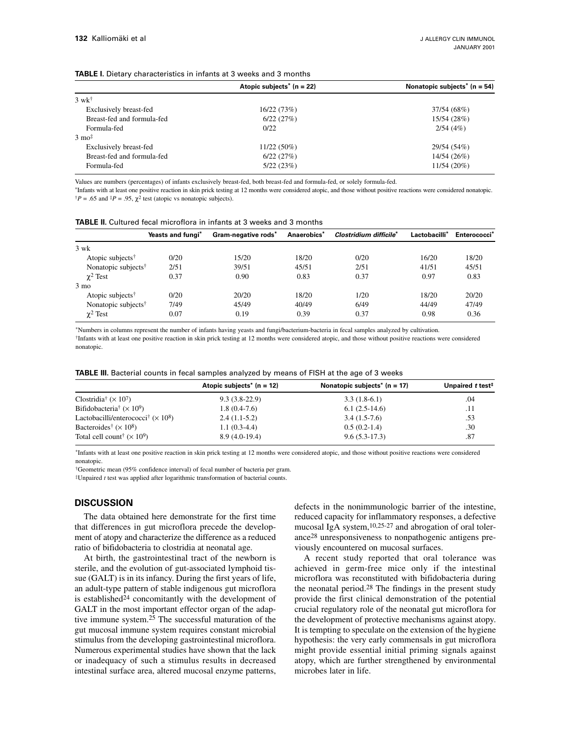| <b>TABLE I.</b> Dietary characteristics in infants at 3 weeks and 3 months |  |  |  |  |  |
|----------------------------------------------------------------------------|--|--|--|--|--|
|----------------------------------------------------------------------------|--|--|--|--|--|

|                            | Atopic subjects <sup>*</sup> ( $n = 22$ ) | Nonatopic subjects <sup>*</sup> ( $n = 54$ ) |
|----------------------------|-------------------------------------------|----------------------------------------------|
| $3 \text{ w} \text{k}^+$   |                                           |                                              |
| Exclusively breast-fed     | 16/22 (73%)                               | 37/54 (68%)                                  |
| Breast-fed and formula-fed | 6/22(27%)                                 | 15/54 (28%)                                  |
| Formula-fed                | 0/22                                      | 2/54(4%)                                     |
| $3 \text{ mo}^{\ddagger}$  |                                           |                                              |
| Exclusively breast-fed     | $11/22(50\%)$                             | 29/54 (54%)                                  |
| Breast-fed and formula-fed | 6/22(27%)                                 | 14/54 (26%)                                  |
| Formula-fed                | 5/22(23%)                                 | 11/54(20%)                                   |

Values are numbers (percentages) of infants exclusively breast-fed, both breast-fed and formula-fed, or solely formula-fed.

\*Infants with at least one positive reaction in skin prick testing at 12 months were considered atopic, and those without positive reactions were considered nonatopic.  $\dagger P = .65$  and  $\dagger P = .95$ ,  $\chi^2$  test (atopic vs nonatopic subjects).

| <b>TABLE II.</b> Cultured fecal microflora in infants at 3 weeks and 3 months |  |  |  |
|-------------------------------------------------------------------------------|--|--|--|
|-------------------------------------------------------------------------------|--|--|--|

|                                 | Yeasts and fungi* | Gram-negative rods* | Anaerobics* | Clostridium difficile* | Lactobacilli* | Enterococci* |
|---------------------------------|-------------------|---------------------|-------------|------------------------|---------------|--------------|
| $3 \text{ wk}$                  |                   |                     |             |                        |               |              |
| Atopic subjects <sup>†</sup>    | 0/20              | 15/20               | 18/20       | 0/20                   | 16/20         | 18/20        |
| Nonatopic subjects <sup>†</sup> | 2/51              | 39/51               | 45/51       | 2/51                   | 41/51         | 45/51        |
| $\chi^2$ Test                   | 0.37              | 0.90                | 0.83        | 0.37                   | 0.97          | 0.83         |
| $3 \text{ mo}$                  |                   |                     |             |                        |               |              |
| Atopic subjects <sup>†</sup>    | 0/20              | 20/20               | 18/20       | 1/20                   | 18/20         | 20/20        |
| Nonatopic subjects <sup>†</sup> | 7/49              | 45/49               | 40/49       | 6/49                   | 44/49         | 47/49        |
| $\chi^2$ Test                   | 0.07              | 0.19                | 0.39        | 0.37                   | 0.98          | 0.36         |

\*Numbers in columns represent the number of infants having yeasts and fungi/bacterium-bacteria in fecal samples analyzed by cultivation.

†Infants with at least one positive reaction in skin prick testing at 12 months were considered atopic, and those without positive reactions were considered nonatopic.

| <b>TABLE III.</b> Bacterial counts in fecal samples analyzed by means of FISH at the age of 3 weeks |  |  |
|-----------------------------------------------------------------------------------------------------|--|--|
|-----------------------------------------------------------------------------------------------------|--|--|

|                                                          | Atopic subjects <sup>*</sup> ( $n = 12$ ) | Nonatopic subjects <sup>*</sup> ( $n = 17$ ) | Unpaired t test <sup>#</sup> |
|----------------------------------------------------------|-------------------------------------------|----------------------------------------------|------------------------------|
| Clostridia <sup>†</sup> $(\times 10^7)$                  | $9.3(3.8-22.9)$                           | $3.3(1.8-6.1)$                               | .04                          |
| Bifidobacteria <sup>†</sup> ( $\times$ 10 <sup>9</sup> ) | $1.8(0.4-7.6)$                            | $6.1(2.5-14.6)$                              | .11                          |
| Lactobacilli/enterococci <sup>†</sup> $(\times 10^8)$    | $2.4(1.1-5.2)$                            | $3.4(1.5-7.6)$                               | .53                          |
| Bacteroides <sup>†</sup> $(\times 10^8)$                 | $1.1(0.3-4.4)$                            | $0.5(0.2-1.4)$                               | .30                          |
| Total cell count <sup>†</sup> $(\times 10^9)$            | $8.9(4.0-19.4)$                           | $9.6(5.3-17.3)$                              | .87                          |

\*Infants with at least one positive reaction in skin prick testing at 12 months were considered atopic, and those without positive reactions were considered nonatopic.

†Geometric mean (95% confidence interval) of fecal number of bacteria per gram.

‡Unpaired *t* test was applied after logarithmic transformation of bacterial counts.

# **DISCUSSION**

The data obtained here demonstrate for the first time that differences in gut microflora precede the development of atopy and characterize the difference as a reduced ratio of bifidobacteria to clostridia at neonatal age.

At birth, the gastrointestinal tract of the newborn is sterile, and the evolution of gut-associated lymphoid tissue (GALT) is in its infancy. During the first years of life, an adult-type pattern of stable indigenous gut microflora is established24 concomitantly with the development of GALT in the most important effector organ of the adaptive immune system.25 The successful maturation of the gut mucosal immune system requires constant microbial stimulus from the developing gastrointestinal microflora. Numerous experimental studies have shown that the lack or inadequacy of such a stimulus results in decreased intestinal surface area, altered mucosal enzyme patterns, defects in the nonimmunologic barrier of the intestine, reduced capacity for inflammatory responses, a defective mucosal IgA system,10,25-27 and abrogation of oral tolerance28 unresponsiveness to nonpathogenic antigens previously encountered on mucosal surfaces.

A recent study reported that oral tolerance was achieved in germ-free mice only if the intestinal microflora was reconstituted with bifidobacteria during the neonatal period.<sup>28</sup> The findings in the present study provide the first clinical demonstration of the potential crucial regulatory role of the neonatal gut microflora for the development of protective mechanisms against atopy. It is tempting to speculate on the extension of the hygiene hypothesis: the very early commensals in gut microflora might provide essential initial priming signals against atopy, which are further strengthened by environmental microbes later in life.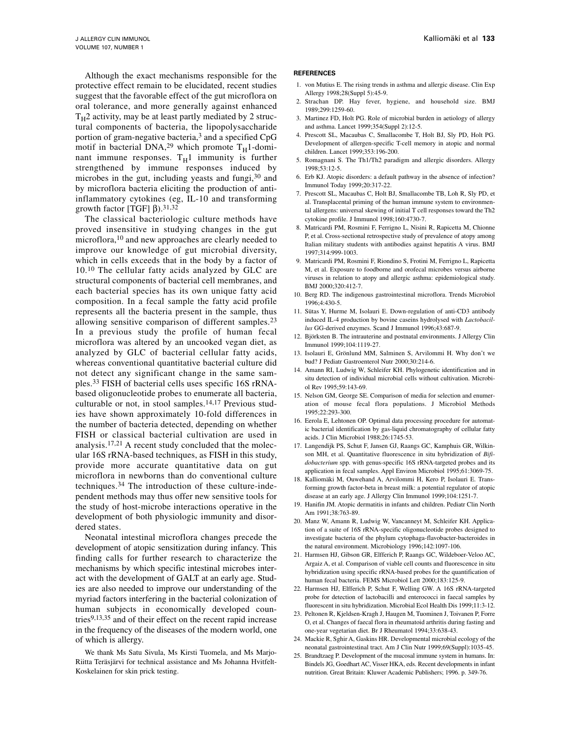Although the exact mechanisms responsible for the protective effect remain to be elucidated, recent studies suggest that the favorable effect of the gut microflora on oral tolerance, and more generally against enhanced  $T_H$ 2 activity, may be at least partly mediated by 2 structural components of bacteria, the lipopolysaccharide portion of gram-negative bacteria,3 and a specified CpG motif in bacterial DNA,<sup>29</sup> which promote  $T_H1$ -dominant immune responses.  $T_H1$  immunity is further strengthened by immune responses induced by microbes in the gut, including yeasts and fungi,30 and by microflora bacteria eliciting the production of antiinflammatory cytokines (eg, IL-10 and transforming growth factor [TGF]  $β$ ).<sup>31,32</sup>

The classical bacteriologic culture methods have proved insensitive in studying changes in the gut microflora,10 and new approaches are clearly needed to improve our knowledge of gut microbial diversity, which in cells exceeds that in the body by a factor of 10.10 The cellular fatty acids analyzed by GLC are structural components of bacterial cell membranes, and each bacterial species has its own unique fatty acid composition. In a fecal sample the fatty acid profile represents all the bacteria present in the sample, thus allowing sensitive comparison of different samples.23 In a previous study the profile of human fecal microflora was altered by an uncooked vegan diet, as analyzed by GLC of bacterial cellular fatty acids, whereas conventional quantitative bacterial culture did not detect any significant change in the same samples.33 FISH of bacterial cells uses specific 16S rRNAbased oligonucleotide probes to enumerate all bacteria, culturable or not, in stool samples. $14,17$  Previous studies have shown approximately 10-fold differences in the number of bacteria detected, depending on whether FISH or classical bacterial cultivation are used in analysis.17,21 A recent study concluded that the molecular 16S rRNA-based techniques, as FISH in this study, provide more accurate quantitative data on gut microflora in newborns than do conventional culture techniques.34 The introduction of these culture-independent methods may thus offer new sensitive tools for the study of host-microbe interactions operative in the development of both physiologic immunity and disordered states.

Neonatal intestinal microflora changes precede the development of atopic sensitization during infancy. This finding calls for further research to characterize the mechanisms by which specific intestinal microbes interact with the development of GALT at an early age. Studies are also needed to improve our understanding of the myriad factors interfering in the bacterial colonization of human subjects in economically developed countries9,13,35 and of their effect on the recent rapid increase in the frequency of the diseases of the modern world, one of which is allergy.

We thank Ms Satu Sivula, Ms Kirsti Tuomela, and Ms Marjo-Riitta Teräsjärvi for technical assistance and Ms Johanna Hvitfelt-Koskelainen for skin prick testing.

#### **REFERENCES**

- 1. von Mutius E. The rising trends in asthma and allergic disease. Clin Exp Allergy 1998;28(Suppl 5):45-9.
- 2. Strachan DP. Hay fever, hygiene, and household size. BMJ 1989;299:1259-60.
- 3. Martinez FD, Holt PG. Role of microbial burden in aetiology of allergy and asthma. Lancet 1999;354(Suppl 2):12-5.
- 4. Prescott SL, Macaubas C, Smallacombe T, Holt BJ, Sly PD, Holt PG. Development of allergen-specific T-cell memory in atopic and normal children. Lancet 1999;353:196-200.
- 5. Romagnani S. The Th1/Th2 paradigm and allergic disorders. Allergy 1998;53:12-5.
- 6. Erb KJ. Atopic disorders: a default pathway in the absence of infection? Immunol Today 1999;20:317-22.
- 7. Prescott SL, Macaubas C, Holt BJ, Smallacombe TB, Loh R, Sly PD, et al. Transplacental priming of the human immune system to environmental allergens: universal skewing of initial T cell responses toward the Th2 cytokine profile. J Immunol 1998;160:4730-7.
- 8. Matricardi PM, Rosmini F, Ferrigno L, Nisini R, Rapicetta M, Chionne P, et al. Cross-sectional retrospective study of prevalence of atopy among Italian military students with antibodies against hepatitis A virus. BMJ 1997;314:999-1003.
- 9. Matricardi PM, Rosmini F, Riondino S, Frotini M, Ferrigno L, Rapicetta M, et al. Exposure to foodborne and orofecal microbes versus airborne viruses in relation to atopy and allergic asthma: epidemiological study. BMJ 2000;320:412-7.
- 10. Berg RD. The indigenous gastrointestinal microflora. Trends Microbiol 1996;4:430-5.
- 11. Sütas Y, Hurme M, Isolauri E. Down-regulation of anti-CD3 antibody induced IL-4 production by bovine caseins hydrolysed with *Lactobacillus* GG-derived enzymes. Scand J Immunol 1996;43:687-9.
- 12. Björksten B. The intrauterine and postnatal environments. J Allergy Clin Immunol 1999;104:1119-27.
- 13. Isolauri E, Grönlund MM, Salminen S, Arvilommi H. Why don't we bud? J Pediatr Gastroenterol Nutr 2000;30:214-6.
- 14. Amann RI, Ludwig W, Schleifer KH. Phylogenetic identification and in situ detection of individual microbial cells without cultivation. Microbiol Rev 1995;59:143-69.
- 15. Nelson GM, George SE. Comparison of media for selection and enumeration of mouse fecal flora populations. J Microbiol Methods 1995;22:293-300.
- 16. Eerola E, Lehtonen OP. Optimal data processing procedure for automatic bacterial identification by gas-liquid chromatography of cellular fatty acids. J Clin Microbiol 1988;26:1745-53.
- 17. Langendijk PS, Schut F, Jansen GJ, Raangs GC, Kamphuis GR, Wilkinson MH, et al. Quantitative fluorescence in situ hybridization of *Bifidobacterium* spp. with genus-specific 16S rRNA-targeted probes and its application in fecal samples. Appl Environ Microbiol 1995;61:3069-75.
- 18. Kalliomäki M, Ouwehand A, Arvilommi H, Kero P, Isolauri E. Transforming growth factor-beta in breast milk: a potential regulator of atopic disease at an early age. J Allergy Clin Immunol 1999;104:1251-7.
- 19. Hanifin JM. Atopic dermatitis in infants and children. Pediatr Clin North Am 1991;38:763-89.
- 20. Manz W, Amann R, Ludwig W, Vancanneyt M, Schleifer KH. Application of a suite of 16S rRNA-specific oligonucleotide probes designed to investigate bacteria of the phylum cytophaga-flavobacter-bacteroides in the natural environment. Microbiology 1996;142:1097-106.
- 21. Harmsen HJ, Gibson GR, Elfferich P, Raangs GC, Wildeboer-Veloo AC, Argaiz A, et al. Comparison of viable cell counts and fluorescence in situ hybridization using specific rRNA-based probes for the quantification of human fecal bacteria. FEMS Microbiol Lett 2000;183:125-9.
- 22. Harmsen HJ, Elfferich P, Schut F, Welling GW. A 16S rRNA-targeted probe for detection of lactobacilli and enterococci in faecal samples by fluorescent in situ hybridization. Microbial Ecol Health Dis 1999;11:3-12.
- 23. Peltonen R, Kjeldsen-Kragh J, Haugen M, Tuominen J, Toivanen P, Forre O, et al. Changes of faecal flora in rheumatoid arthritis during fasting and one-year vegetarian diet. Br J Rheumatol 1994;33:638-43.
- 24. Mackie R, Sghir A, Gaskins HR. Developmental microbial ecology of the neonatal gastrointestinal tract. Am J Clin Nutr 1999;69(Suppl):1035-45.
- 25. Brandtzaeg P. Development of the mucosal immune system in humans. In: Bindels JG, Goedhart AC, Visser HKA, eds. Recent developments in infant nutrition. Great Britain: Kluwer Academic Publishers; 1996. p. 349-76.